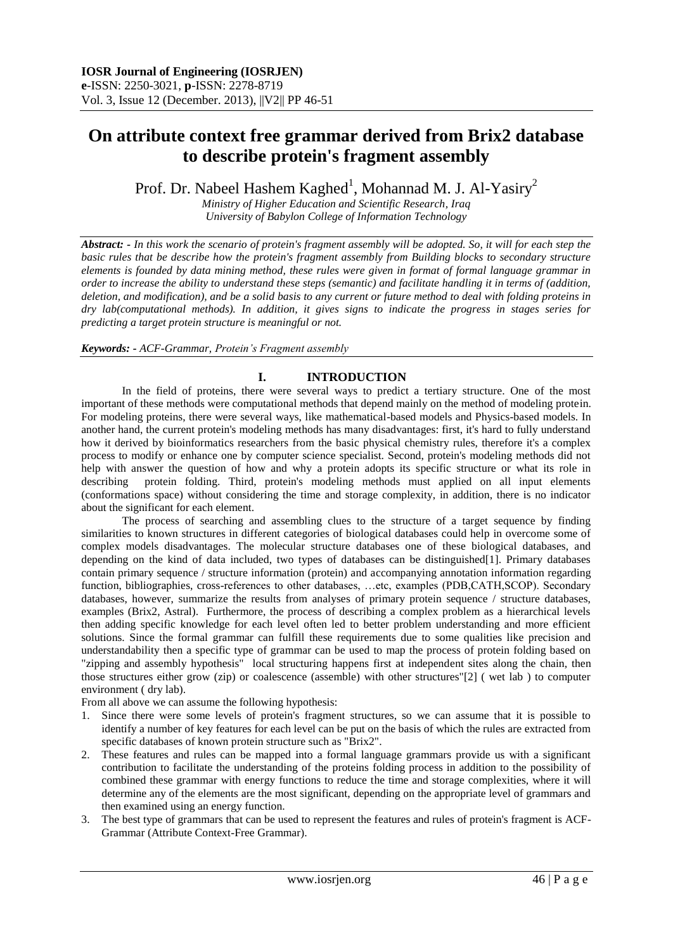# **On attribute context free grammar derived from Brix2 database to describe protein's fragment assembly**

Prof. Dr. Nabeel Hashem Kaghed<sup>1</sup>, Mohannad M. J. Al-Yasiry<sup>2</sup>

*Ministry of Higher Education and Scientific Research, Iraq University of Babylon College of Information Technology* 

*Abstract: - In this work the scenario of protein's fragment assembly will be adopted. So, it will for each step the basic rules that be describe how the protein's fragment assembly from Building blocks to secondary structure elements is founded by data mining method, these rules were given in format of formal language grammar in order to increase the ability to understand these steps (semantic) and facilitate handling it in terms of (addition, deletion, and modification), and be a solid basis to any current or future method to deal with folding proteins in dry lab(computational methods). In addition, it gives signs to indicate the progress in stages series for predicting a target protein structure is meaningful or not.*

## *Keywords: - ACF-Grammar, Protein's Fragment assembly*

# **I. INTRODUCTION**

In the field of proteins, there were several ways to predict a tertiary structure. One of the most important of these methods were computational methods that depend mainly on the method of modeling protein. For modeling proteins, there were several ways, like mathematical-based models and Physics-based models. In another hand, the current protein's modeling methods has many disadvantages: first, it's hard to fully understand how it derived by bioinformatics researchers from the basic physical chemistry rules, therefore it's a complex process to modify or enhance one by computer science specialist. Second, protein's modeling methods did not help with answer the question of how and why a protein adopts its specific structure or what its role in describing protein folding. Third, protein's modeling methods must applied on all input elements (conformations space) without considering the time and storage complexity, in addition, there is no indicator about the significant for each element.

The process of searching and assembling clues to the structure of a target sequence by finding similarities to known structures in different categories of biological databases could help in overcome some of complex models disadvantages. The molecular structure databases one of these biological databases, and depending on the kind of data included, two types of databases can be distinguished[1]. Primary databases contain primary sequence / structure information (protein) and accompanying annotation information regarding function, bibliographies, cross-references to other databases, …etc, examples (PDB,CATH,SCOP). Secondary databases, however, summarize the results from analyses of primary protein sequence / structure databases, examples (Brix2, Astral). Furthermore, the process of describing a complex problem as a hierarchical levels then adding specific knowledge for each level often led to better problem understanding and more efficient solutions. Since the formal grammar can fulfill these requirements due to some qualities like precision and understandability then a specific type of grammar can be used to map the process of protein folding based on "zipping and assembly hypothesis" local structuring happens first at independent sites along the chain, then those structures either grow (zip) or coalescence (assemble) with other structures"[2] ( wet lab ) to computer environment ( dry lab).

From all above we can assume the following hypothesis:

- 1. Since there were some levels of protein's fragment structures, so we can assume that it is possible to identify a number of key features for each level can be put on the basis of which the rules are extracted from specific databases of known protein structure such as "Brix2".
- 2. These features and rules can be mapped into a formal language grammars provide us with a significant contribution to facilitate the understanding of the proteins folding process in addition to the possibility of combined these grammar with energy functions to reduce the time and storage complexities, where it will determine any of the elements are the most significant, depending on the appropriate level of grammars and then examined using an energy function.
- 3. The best type of grammars that can be used to represent the features and rules of protein's fragment is ACF-Grammar (Attribute Context-Free Grammar).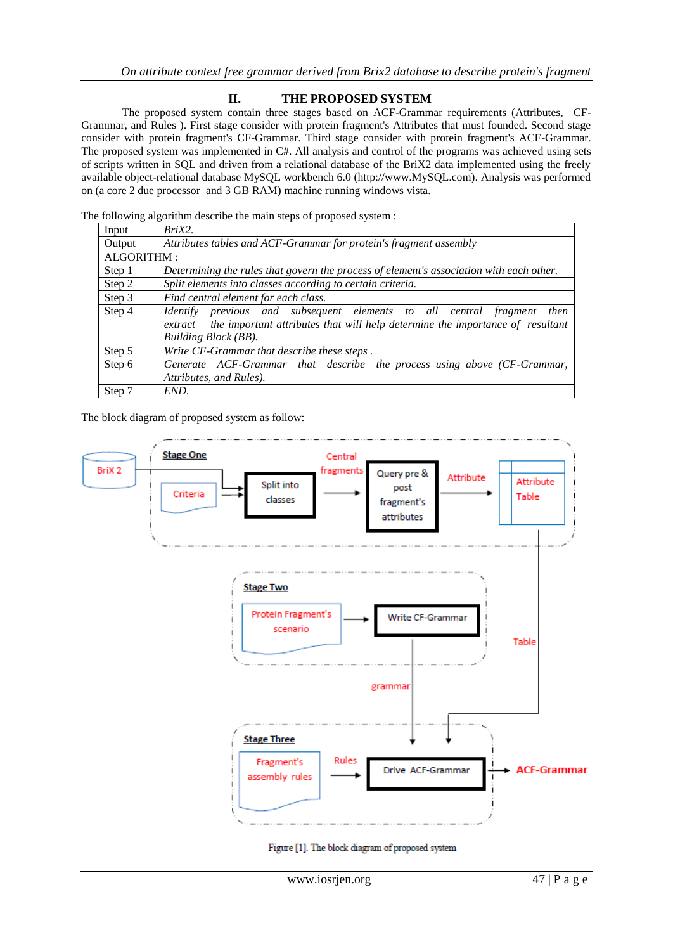# **II. THE PROPOSED SYSTEM**

The proposed system contain three stages based on ACF-Grammar requirements (Attributes, CF-Grammar, and Rules ). First stage consider with protein fragment's Attributes that must founded. Second stage consider with protein fragment's CF-Grammar. Third stage consider with protein fragment's ACF-Grammar. The proposed system was implemented in C#. All analysis and control of the programs was achieved using sets of scripts written in SQL and driven from a relational database of the BriX2 data implemented using the freely available object-relational database MySQL workbench 6.0 (http://www.MySQL.com). Analysis was performed on (a core 2 due processor and 3 GB RAM) machine running windows vista.

The following algorithm describe the main steps of proposed system :

| Input      | $BriX2$ .                                                                                |  |  |
|------------|------------------------------------------------------------------------------------------|--|--|
| Output     | Attributes tables and ACF-Grammar for protein's fragment assembly                        |  |  |
| ALGORITHM: |                                                                                          |  |  |
| Step 1     | Determining the rules that govern the process of element's association with each other.  |  |  |
| Step 2     | Split elements into classes according to certain criteria.                               |  |  |
| Step 3     | Find central element for each class.                                                     |  |  |
| Step 4     | previous and subsequent elements to all central fragment<br><i>Identify</i><br>then      |  |  |
|            | the important attributes that will help determine the importance of resultant<br>extract |  |  |
|            | Building Block (BB).                                                                     |  |  |
| Step 5     | Write CF-Grammar that describe these steps.                                              |  |  |
| Step 6     | Generate ACF-Grammar that describe the process using above (CF-Grammar,                  |  |  |
|            | Attributes, and Rules).                                                                  |  |  |
| Step 7     | END.                                                                                     |  |  |

The block diagram of proposed system as follow:



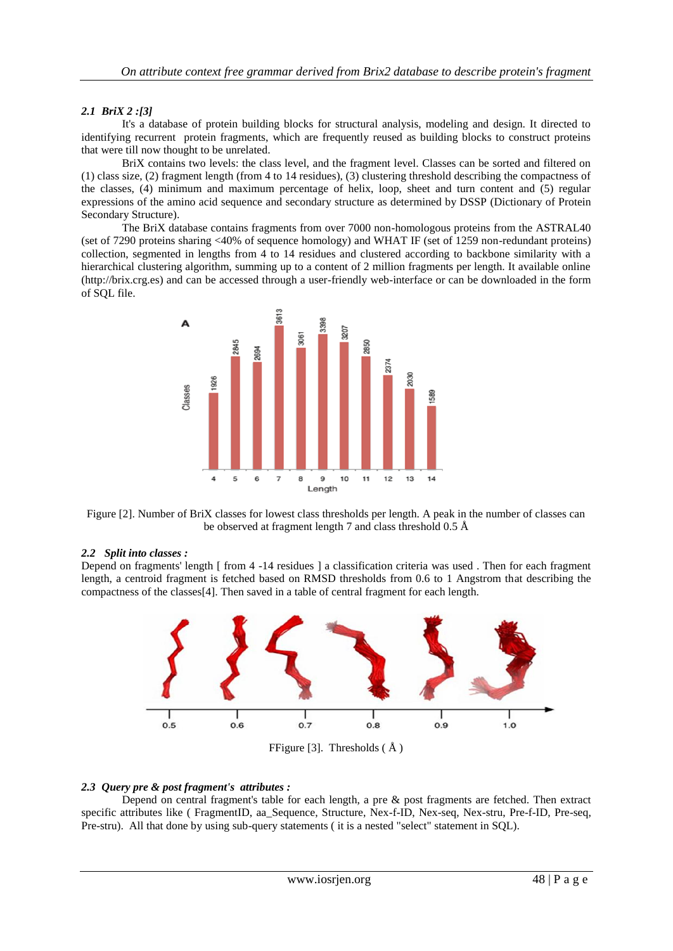### *2.1 BriX 2 :[3]*

It's a database of protein building blocks for structural analysis, modeling and design. It directed to identifying recurrent protein fragments, which are frequently reused as building blocks to construct proteins that were till now thought to be unrelated.

BriX contains two levels: the class level, and the fragment level. Classes can be sorted and filtered on (1) class size, (2) fragment length (from 4 to 14 residues), (3) clustering threshold describing the compactness of the classes, (4) minimum and maximum percentage of helix, loop, sheet and turn content and (5) regular expressions of the amino acid sequence and secondary structure as determined by DSSP (Dictionary of Protein Secondary Structure).

The BriX database contains fragments from over 7000 non-homologous proteins from the ASTRAL40 (set of 7290 proteins sharing <40% of sequence homology) and WHAT IF (set of 1259 non-redundant proteins) collection, segmented in lengths from 4 to 14 residues and clustered according to backbone similarity with a hierarchical clustering algorithm, summing up to a content of 2 million fragments per length. It available online (http://brix.crg.es) and can be accessed through a user-friendly web-interface or can be downloaded in the form of SQL file.



Figure [2]. Number of BriX classes for lowest class thresholds per length. A peak in the number of classes can be observed at fragment length 7 and class threshold 0.5 Å

#### *2.2 Split into classes :*

Depend on fragments' length [ from 4 -14 residues ] a classification criteria was used . Then for each fragment length, a centroid fragment is fetched based on RMSD thresholds from 0.6 to 1 Angstrom that describing the compactness of the classes[4]. Then saved in a table of central fragment for each length.



#### *2.3 Query pre & post fragment's attributes :*

Depend on central fragment's table for each length, a pre & post fragments are fetched. Then extract specific attributes like ( FragmentID, aa\_Sequence, Structure, Nex-f-ID, Nex-seq, Nex-stru, Pre-f-ID, Pre-seq, Pre-stru). All that done by using sub-query statements ( it is a nested "select" statement in SQL).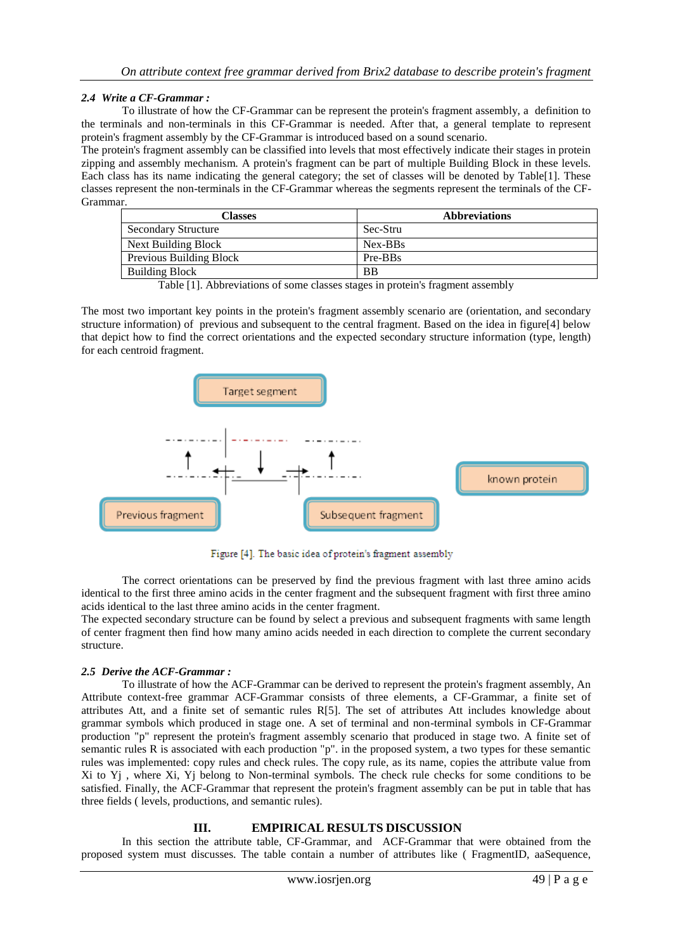## *2.4 Write a CF-Grammar :*

To illustrate of how the CF-Grammar can be represent the protein's fragment assembly, a definition to the terminals and non-terminals in this CF-Grammar is needed. After that, a general template to represent protein's fragment assembly by the CF-Grammar is introduced based on a sound scenario.

The protein's fragment assembly can be classified into levels that most effectively indicate their stages in protein zipping and assembly mechanism. A protein's fragment can be part of multiple Building Block in these levels. Each class has its name indicating the general category; the set of classes will be denoted by Table[1]. These classes represent the non-terminals in the CF-Grammar whereas the segments represent the terminals of the CF-Grammar.

| <b>Classes</b>             | <b>Abbreviations</b> |
|----------------------------|----------------------|
| <b>Secondary Structure</b> | -Sec-Stru            |
| Next Building Block        | Nex-BBs              |
| Previous Building Block    | Pre-BBs              |
| <b>Building Block</b>      | <b>BB</b>            |

Table [1]. Abbreviations of some classes stages in protein's fragment assembly

The most two important key points in the protein's fragment assembly scenario are (orientation, and secondary structure information) of previous and subsequent to the central fragment. Based on the idea in figure[4] below that depict how to find the correct orientations and the expected secondary structure information (type, length) for each centroid fragment.



Figure [4]. The basic idea of protein's fragment assembly

The correct orientations can be preserved by find the previous fragment with last three amino acids identical to the first three amino acids in the center fragment and the subsequent fragment with first three amino acids identical to the last three amino acids in the center fragment.

The expected secondary structure can be found by select a previous and subsequent fragments with same length of center fragment then find how many amino acids needed in each direction to complete the current secondary structure.

## *2.5 Derive the ACF-Grammar :*

To illustrate of how the ACF-Grammar can be derived to represent the protein's fragment assembly, An Attribute context-free grammar ACF-Grammar consists of three elements, a CF-Grammar, a finite set of attributes Att, and a finite set of semantic rules R[5]. The set of attributes Att includes knowledge about grammar symbols which produced in stage one. A set of terminal and non-terminal symbols in CF-Grammar production "p" represent the protein's fragment assembly scenario that produced in stage two. A finite set of semantic rules R is associated with each production "p". in the proposed system, a two types for these semantic rules was implemented: copy rules and check rules. The copy rule, as its name, copies the attribute value from Xi to Yj , where Xi, Yj belong to Non-terminal symbols. The check rule checks for some conditions to be satisfied. Finally, the ACF-Grammar that represent the protein's fragment assembly can be put in table that has three fields ( levels, productions, and semantic rules).

## **III. EMPIRICAL RESULTS DISCUSSION**

In this section the attribute table, CF-Grammar, and ACF-Grammar that were obtained from the proposed system must discusses. The table contain a number of attributes like ( FragmentID, aaSequence,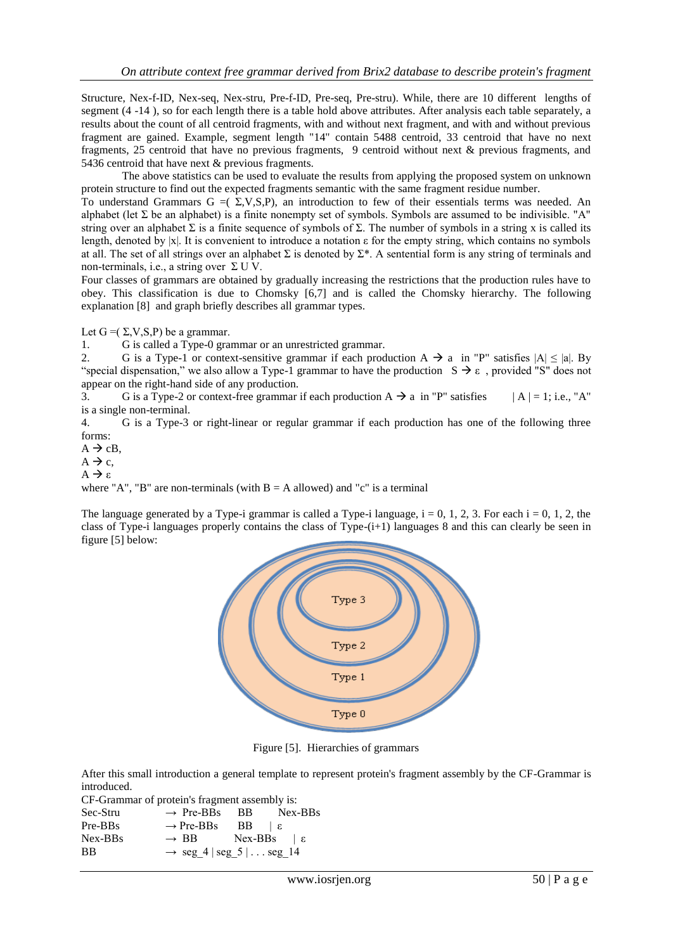Structure, Nex-f-ID, Nex-seq, Nex-stru, Pre-f-ID, Pre-seq, Pre-stru). While, there are 10 different lengths of segment (4 -14 ), so for each length there is a table hold above attributes. After analysis each table separately, a results about the count of all centroid fragments, with and without next fragment, and with and without previous fragment are gained. Example, segment length "14" contain 5488 centroid, 33 centroid that have no next fragments, 25 centroid that have no previous fragments, 9 centroid without next & previous fragments, and 5436 centroid that have next & previous fragments.

The above statistics can be used to evaluate the results from applying the proposed system on unknown protein structure to find out the expected fragments semantic with the same fragment residue number.

To understand Grammars  $G = (\Sigma, V, S, P)$ , an introduction to few of their essentials terms was needed. An alphabet (let  $\Sigma$  be an alphabet) is a finite nonempty set of symbols. Symbols are assumed to be indivisible. "A" string over an alphabet  $\Sigma$  is a finite sequence of symbols of  $\Sigma$ . The number of symbols in a string x is called its length, denoted by |x|. It is convenient to introduce a notation  $\varepsilon$  for the empty string, which contains no symbols at all. The set of all strings over an alphabet  $\Sigma$  is denoted by  $\Sigma^*$ . A sentential form is any string of terminals and non-terminals, i.e., a string over  $\Sigma$  U V.

Four classes of grammars are obtained by gradually increasing the restrictions that the production rules have to obey. This classification is due to Chomsky [6,7] and is called the Chomsky hierarchy. The following explanation [8] and graph briefly describes all grammar types.

Let  $G = (\Sigma, V, S, P)$  be a grammar.

1. G is called a Type-0 grammar or an unrestricted grammar.

2. G is a Type-1 or context-sensitive grammar if each production  $A \rightarrow a$  in "P" satisfies  $|A| \le |a|$ . By "special dispensation," we also allow a Type-1 grammar to have the production  $S \rightarrow \varepsilon$ , provided "S" does not appear on the right-hand side of any production.

3. G is a Type-2 or context-free grammar if each production  $A \rightarrow a$  in "P" satisfies  $|A| = 1$ ; i.e., "A" is a single non-terminal.

4. G is a Type-3 or right-linear or regular grammar if each production has one of the following three forms:

 $A \rightarrow cB$ ,  $A \rightarrow c$ ,

 $A \rightarrow \varepsilon$ 

where "A", "B" are non-terminals (with  $B = A$  allowed) and "c" is a terminal

The language generated by a Type-i grammar is called a Type-i language,  $i = 0, 1, 2, 3$ . For each  $i = 0, 1, 2$ , the class of Type-i languages properly contains the class of Type- $(i+1)$  languages 8 and this can clearly be seen in figure [5] below:



Figure [5]. Hierarchies of grammars

After this small introduction a general template to represent protein's fragment assembly by the CF-Grammar is introduced.

CF-Grammar of protein's fragment assembly is:

```
\text{Sec-Stru} \rightarrow \text{Pre-BBs} \quad \text{BB} \quad \text{Nex-BBs}Pre-BBs → Pre-BBs BB | εNex-BBs → BB Nex-BBs | ε
BB \rightarrow seg 4 | seg 5 | . . . seg_14
```